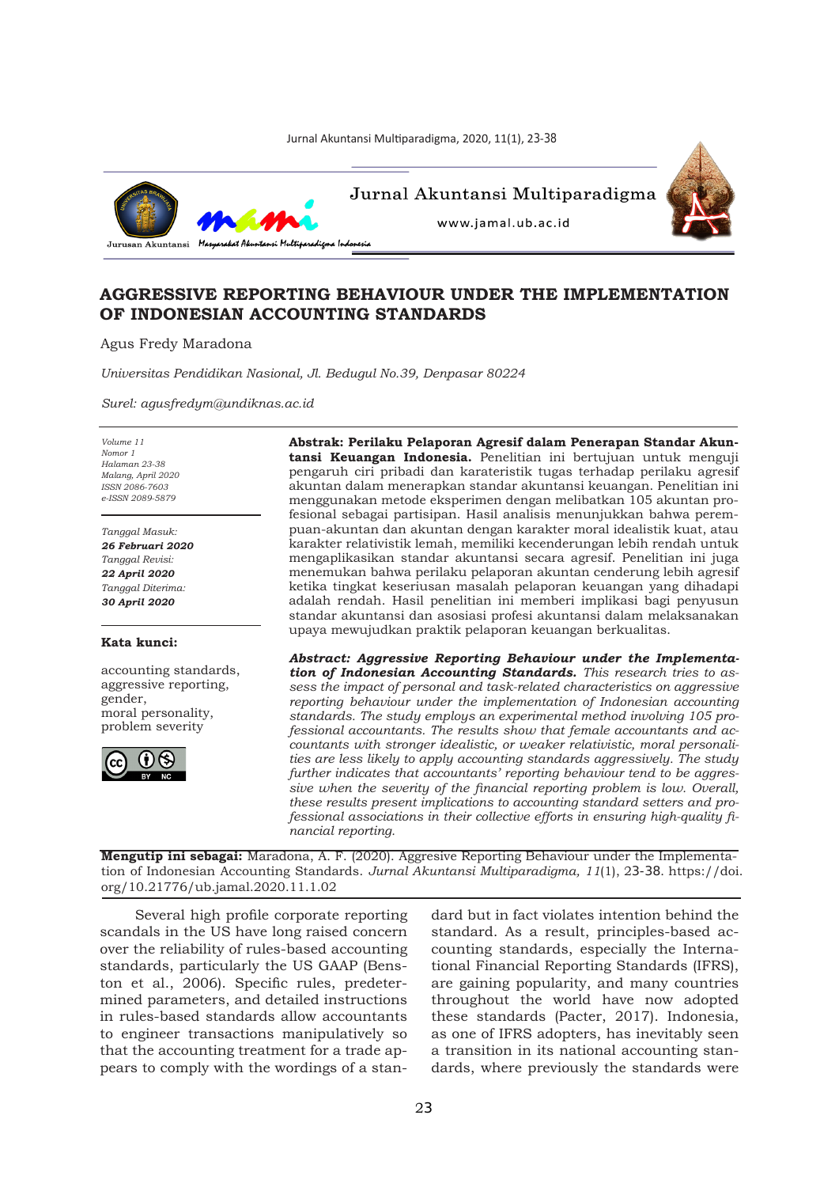Jurnal Akuntansi Multiparadigma, 2020, 11(1), 23-38



Jurnal Akuntansi Multiparadigma



www.jamal.ub.ac.id

# **AGGRESSIVE REPORTING BEHAVIOUR UNDER THE IMPLEMENTATION OF INDONESIAN ACCOUNTING STANDARDS**

Agus Fredy Maradona

*Universitas Pendidikan Nasional, Jl. Bedugul No.39, Denpasar 80224*

*Surel: agusfredym@undiknas.ac.id*

*Volume 11 Nomor 1 Halaman 23-38 Malang, April 2020 ISSN 2086-7603 e-ISSN 2089-5879*

*Tanggal Masuk: 26 Februari 2020 Tanggal Revisi: 22 April 2020 Tanggal Diterima: 30 April 2020*

## **Kata kunci:**

accounting standards, aggressive reporting, gender, moral personality, problem severity



**Abstrak: Perilaku Pelaporan Agresif dalam Penerapan Standar Akuntansi Keuangan Indonesia.** Penelitian ini bertujuan untuk menguji pengaruh ciri pribadi dan karateristik tugas terhadap perilaku agresif akuntan dalam menerapkan standar akuntansi keuangan. Penelitian ini menggunakan metode eksperimen dengan melibatkan 105 akuntan profesional sebagai partisipan. Hasil analisis menunjukkan bahwa perempuan-akuntan dan akuntan dengan karakter moral idealistik kuat, atau karakter relativistik lemah, memiliki kecenderungan lebih rendah untuk mengaplikasikan standar akuntansi secara agresif. Penelitian ini juga menemukan bahwa perilaku pelaporan akuntan cenderung lebih agresif ketika tingkat keseriusan masalah pelaporan keuangan yang dihadapi adalah rendah. Hasil penelitian ini memberi implikasi bagi penyusun standar akuntansi dan asosiasi profesi akuntansi dalam melaksanakan upaya mewujudkan praktik pelaporan keuangan berkualitas.

*Abstract: Aggressive Reporting Behaviour under the Implementation of Indonesian Accounting Standards. This research tries to assess the impact of personal and task-related characteristics on aggressive reporting behaviour under the implementation of Indonesian accounting standards. The study employs an experimental method involving 105 professional accountants. The results show that female accountants and accountants with stronger idealistic, or weaker relativistic, moral personalities are less likely to apply accounting standards aggressively. The study further indicates that accountants' reporting behaviour tend to be aggressive when the severity of the financial reporting problem is low. Overall, these results present implications to accounting standard setters and professional associations in their collective efforts in ensuring high-quality financial reporting.*

**Mengutip ini sebagai:** Maradona, A. F. (2020). Aggresive Reporting Behaviour under the Implementation of Indonesian Accounting Standards. *Jurnal Akuntansi Multiparadigma, 11*(1), 23-38. https://doi. org/10.21776/ub.jamal.2020.11.1.02

Several high profile corporate reporting scandals in the US have long raised concern over the reliability of rules-based accounting standards, particularly the US GAAP (Benston et al., 2006). Specific rules, predetermined parameters, and detailed instructions in rules-based standards allow accountants to engineer transactions manipulatively so that the accounting treatment for a trade appears to comply with the wordings of a standard but in fact violates intention behind the standard. As a result, principles-based accounting standards, especially the International Financial Reporting Standards (IFRS), are gaining popularity, and many countries throughout the world have now adopted these standards (Pacter, 2017). Indonesia, as one of IFRS adopters, has inevitably seen a transition in its national accounting standards, where previously the standards were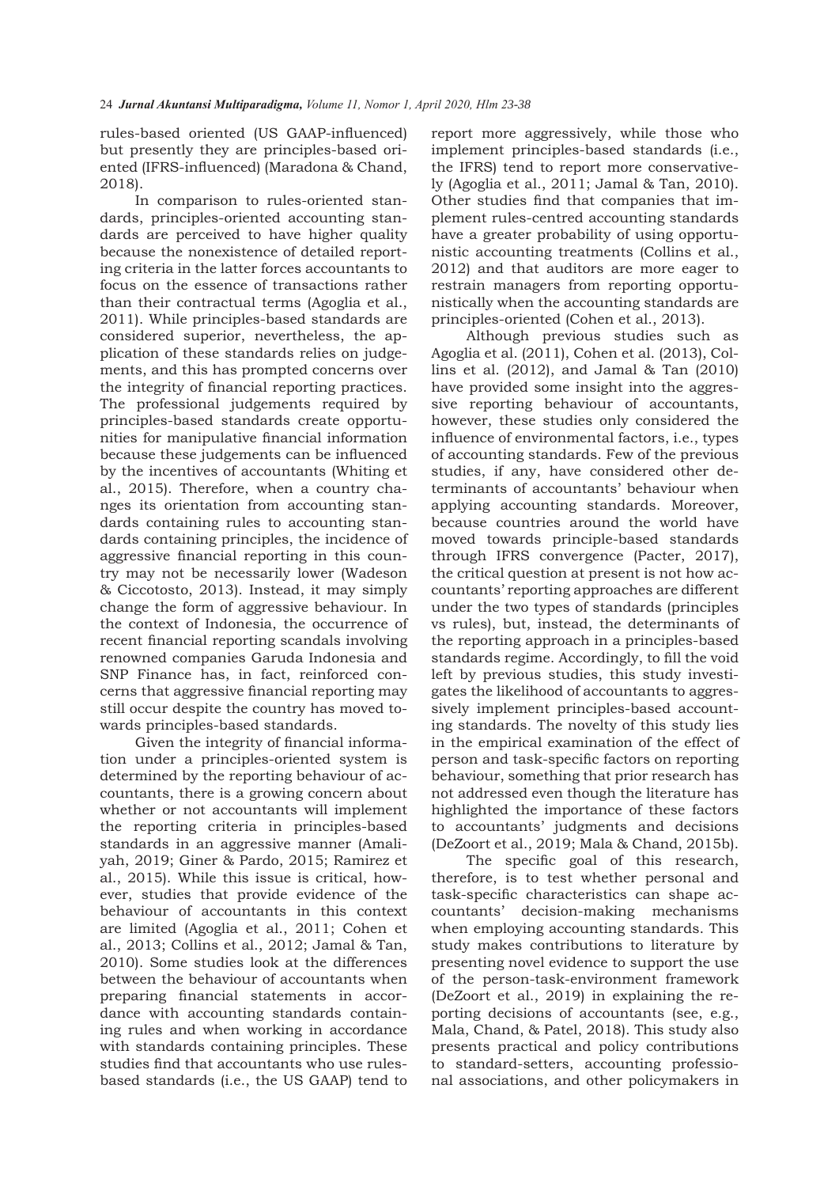rules-based oriented (US GAAP-influenced) but presently they are principles-based oriented (IFRS-influenced) (Maradona & Chand, 2018).

In comparison to rules-oriented standards, principles-oriented accounting standards are perceived to have higher quality because the nonexistence of detailed reporting criteria in the latter forces accountants to focus on the essence of transactions rather than their contractual terms (Agoglia et al., 2011). While principles-based standards are considered superior, nevertheless, the application of these standards relies on judgements, and this has prompted concerns over the integrity of financial reporting practices. The professional judgements required by principles-based standards create opportunities for manipulative financial information because these judgements can be influenced by the incentives of accountants (Whiting et al., 2015). Therefore, when a country changes its orientation from accounting standards containing rules to accounting standards containing principles, the incidence of aggressive financial reporting in this country may not be necessarily lower (Wadeson & Ciccotosto, 2013). Instead, it may simply change the form of aggressive behaviour. In the context of Indonesia, the occurrence of recent financial reporting scandals involving renowned companies Garuda Indonesia and SNP Finance has, in fact, reinforced concerns that aggressive financial reporting may still occur despite the country has moved towards principles-based standards.

Given the integrity of financial information under a principles-oriented system is determined by the reporting behaviour of accountants, there is a growing concern about whether or not accountants will implement the reporting criteria in principles-based standards in an aggressive manner (Amaliyah, 2019; Giner & Pardo, 2015; Ramirez et al., 2015). While this issue is critical, however, studies that provide evidence of the behaviour of accountants in this context are limited (Agoglia et al., 2011; Cohen et al., 2013; Collins et al., 2012; Jamal & Tan, 2010). Some studies look at the differences between the behaviour of accountants when preparing financial statements in accordance with accounting standards containing rules and when working in accordance with standards containing principles. These studies find that accountants who use rulesbased standards (i.e., the US GAAP) tend to

report more aggressively, while those who implement principles-based standards (i.e., the IFRS) tend to report more conservatively (Agoglia et al., 2011; Jamal & Tan, 2010). Other studies find that companies that implement rules-centred accounting standards have a greater probability of using opportunistic accounting treatments (Collins et al., 2012) and that auditors are more eager to restrain managers from reporting opportunistically when the accounting standards are principles-oriented (Cohen et al., 2013).

Although previous studies such as Agoglia et al. (2011), Cohen et al. (2013), Collins et al. (2012), and Jamal & Tan (2010) have provided some insight into the aggressive reporting behaviour of accountants, however, these studies only considered the influence of environmental factors, i.e., types of accounting standards. Few of the previous studies, if any, have considered other determinants of accountants' behaviour when applying accounting standards. Moreover, because countries around the world have moved towards principle-based standards through IFRS convergence (Pacter, 2017), the critical question at present is not how accountants' reporting approaches are different under the two types of standards (principles vs rules), but, instead, the determinants of the reporting approach in a principles-based standards regime. Accordingly, to fill the void left by previous studies, this study investigates the likelihood of accountants to aggressively implement principles-based accounting standards. The novelty of this study lies in the empirical examination of the effect of person and task-specific factors on reporting behaviour, something that prior research has not addressed even though the literature has highlighted the importance of these factors to accountants' judgments and decisions (DeZoort et al., 2019; Mala & Chand, 2015b).

The specific goal of this research, therefore, is to test whether personal and task-specific characteristics can shape accountants' decision-making mechanisms when employing accounting standards. This study makes contributions to literature by presenting novel evidence to support the use of the person-task-environment framework (DeZoort et al., 2019) in explaining the reporting decisions of accountants (see, e.g., Mala, Chand, & Patel, 2018). This study also presents practical and policy contributions to standard-setters, accounting professional associations, and other policymakers in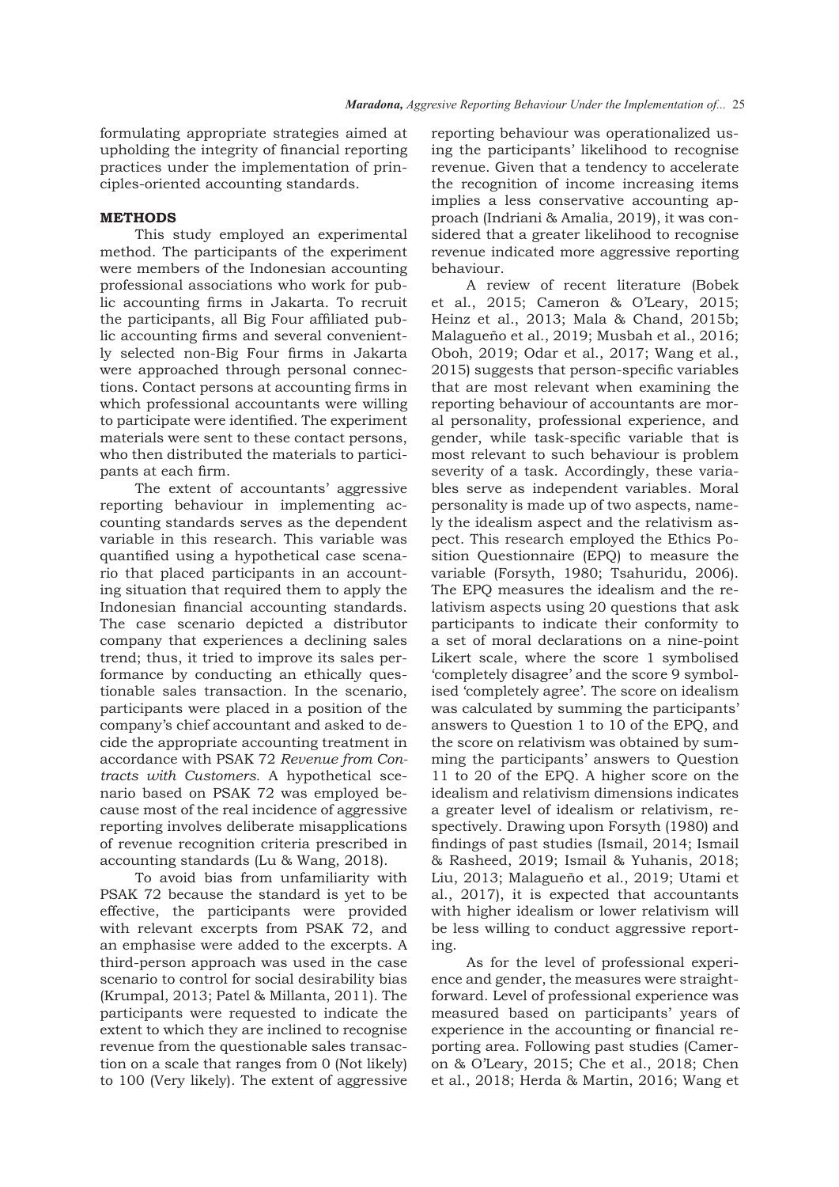formulating appropriate strategies aimed at upholding the integrity of financial reporting practices under the implementation of principles-oriented accounting standards.

# **METHODS**

This study employed an experimental method. The participants of the experiment were members of the Indonesian accounting professional associations who work for public accounting firms in Jakarta. To recruit the participants, all Big Four affiliated public accounting firms and several conveniently selected non-Big Four firms in Jakarta were approached through personal connections. Contact persons at accounting firms in which professional accountants were willing to participate were identified. The experiment materials were sent to these contact persons, who then distributed the materials to participants at each firm.

The extent of accountants' aggressive reporting behaviour in implementing accounting standards serves as the dependent variable in this research. This variable was quantified using a hypothetical case scenario that placed participants in an accounting situation that required them to apply the Indonesian financial accounting standards. The case scenario depicted a distributor company that experiences a declining sales trend; thus, it tried to improve its sales performance by conducting an ethically questionable sales transaction. In the scenario, participants were placed in a position of the company's chief accountant and asked to decide the appropriate accounting treatment in accordance with PSAK 72 *Revenue from Contracts with Customers.* A hypothetical scenario based on PSAK 72 was employed because most of the real incidence of aggressive reporting involves deliberate misapplications of revenue recognition criteria prescribed in accounting standards (Lu & Wang, 2018).

To avoid bias from unfamiliarity with PSAK 72 because the standard is yet to be effective, the participants were provided with relevant excerpts from PSAK 72, and an emphasise were added to the excerpts. A third-person approach was used in the case scenario to control for social desirability bias (Krumpal, 2013; Patel & Millanta, 2011). The participants were requested to indicate the extent to which they are inclined to recognise revenue from the questionable sales transaction on a scale that ranges from 0 (Not likely) to 100 (Very likely). The extent of aggressive

reporting behaviour was operationalized using the participants' likelihood to recognise revenue. Given that a tendency to accelerate the recognition of income increasing items implies a less conservative accounting approach (Indriani & Amalia, 2019), it was considered that a greater likelihood to recognise revenue indicated more aggressive reporting behaviour.

A review of recent literature (Bobek et al., 2015; Cameron & O'Leary, 2015; Heinz et al., 2013; Mala & Chand, 2015b; Malagueño et al., 2019; Musbah et al., 2016; Oboh, 2019; Odar et al., 2017; Wang et al., 2015) suggests that person-specific variables that are most relevant when examining the reporting behaviour of accountants are moral personality, professional experience, and gender, while task-specific variable that is most relevant to such behaviour is problem severity of a task. Accordingly, these variables serve as independent variables. Moral personality is made up of two aspects, namely the idealism aspect and the relativism aspect. This research employed the Ethics Position Questionnaire (EPQ) to measure the variable (Forsyth, 1980; Tsahuridu, 2006). The EPQ measures the idealism and the relativism aspects using 20 questions that ask participants to indicate their conformity to a set of moral declarations on a nine-point Likert scale, where the score 1 symbolised 'completely disagree' and the score 9 symbolised 'completely agree'. The score on idealism was calculated by summing the participants' answers to Question 1 to 10 of the EPQ, and the score on relativism was obtained by summing the participants' answers to Question 11 to 20 of the EPQ. A higher score on the idealism and relativism dimensions indicates a greater level of idealism or relativism, respectively. Drawing upon Forsyth (1980) and findings of past studies (Ismail, 2014; Ismail & Rasheed, 2019; Ismail & Yuhanis, 2018; Liu, 2013; Malagueño et al., 2019; Utami et al., 2017), it is expected that accountants with higher idealism or lower relativism will be less willing to conduct aggressive reporting.

As for the level of professional experience and gender, the measures were straightforward. Level of professional experience was measured based on participants' years of experience in the accounting or financial reporting area. Following past studies (Cameron & O'Leary, 2015; Che et al., 2018; Chen et al., 2018; Herda & Martin, 2016; Wang et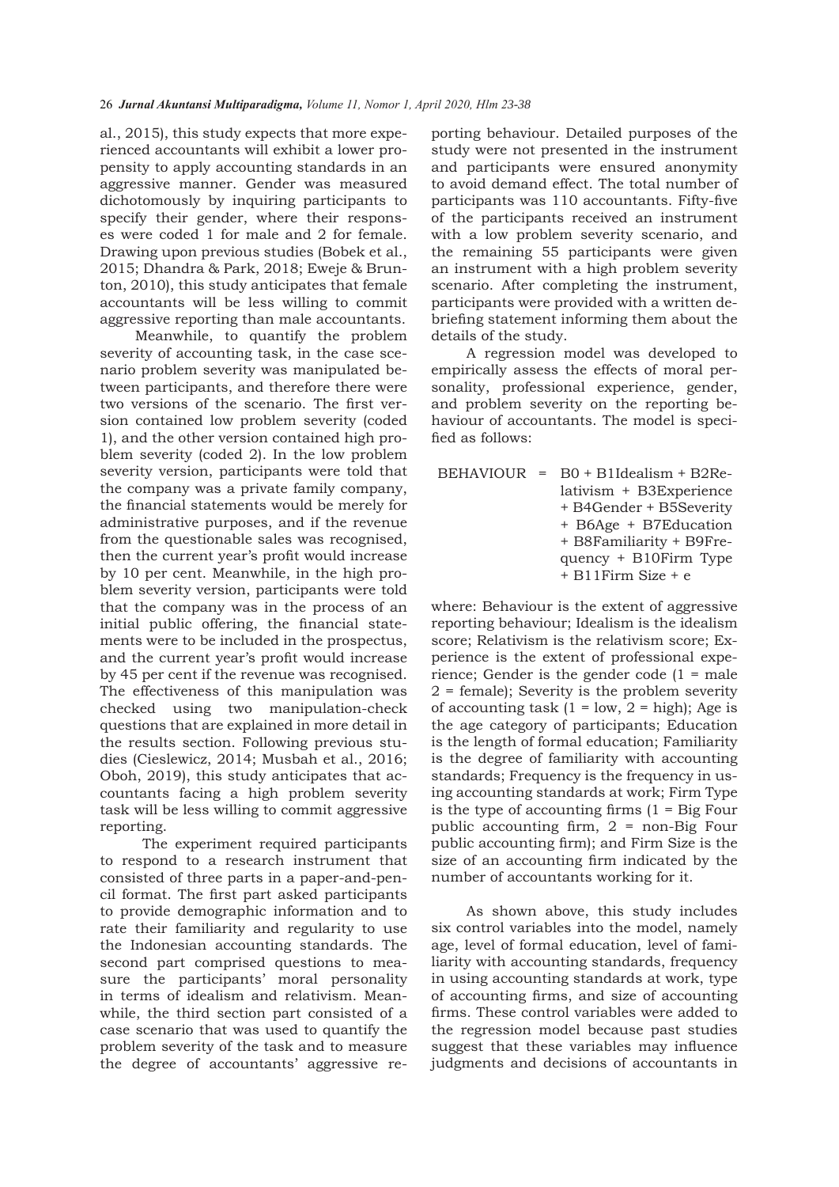al., 2015), this study expects that more experienced accountants will exhibit a lower propensity to apply accounting standards in an aggressive manner. Gender was measured dichotomously by inquiring participants to specify their gender, where their responses were coded 1 for male and 2 for female. Drawing upon previous studies (Bobek et al., 2015; Dhandra & Park, 2018; Eweje & Brunton, 2010), this study anticipates that female accountants will be less willing to commit aggressive reporting than male accountants.

Meanwhile, to quantify the problem severity of accounting task, in the case scenario problem severity was manipulated between participants, and therefore there were two versions of the scenario. The first version contained low problem severity (coded 1), and the other version contained high problem severity (coded 2). In the low problem severity version, participants were told that the company was a private family company, the financial statements would be merely for administrative purposes, and if the revenue from the questionable sales was recognised, then the current year's profit would increase by 10 per cent. Meanwhile, in the high problem severity version, participants were told that the company was in the process of an initial public offering, the financial statements were to be included in the prospectus, and the current year's profit would increase by 45 per cent if the revenue was recognised. The effectiveness of this manipulation was checked using two manipulation-check questions that are explained in more detail in the results section. Following previous studies (Cieslewicz, 2014; Musbah et al., 2016; Oboh, 2019), this study anticipates that accountants facing a high problem severity task will be less willing to commit aggressive reporting.

 The experiment required participants to respond to a research instrument that consisted of three parts in a paper-and-pencil format. The first part asked participants to provide demographic information and to rate their familiarity and regularity to use the Indonesian accounting standards. The second part comprised questions to measure the participants' moral personality in terms of idealism and relativism. Meanwhile, the third section part consisted of a case scenario that was used to quantify the problem severity of the task and to measure the degree of accountants' aggressive reporting behaviour. Detailed purposes of the study were not presented in the instrument and participants were ensured anonymity to avoid demand effect. The total number of participants was 110 accountants. Fifty-five of the participants received an instrument with a low problem severity scenario, and the remaining 55 participants were given an instrument with a high problem severity scenario. After completing the instrument, participants were provided with a written debriefing statement informing them about the details of the study.

A regression model was developed to empirically assess the effects of moral personality, professional experience, gender, and problem severity on the reporting behaviour of accountants. The model is specified as follows:

|  | $BEHAVIOUR = BO + B1Idealism + B2Re-$ |
|--|---------------------------------------|
|  | lativism + B3Experience               |
|  | + B4Gender + B5Severity               |
|  | + B6Age + B7Education                 |
|  | + B8Familiarity + B9Fre-              |
|  | quency $+$ B10Firm Type               |
|  | $+$ B11Firm Size $+$ e                |

where: Behaviour is the extent of aggressive reporting behaviour; Idealism is the idealism score; Relativism is the relativism score; Experience is the extent of professional experience; Gender is the gender code (1 = male 2 = female); Severity is the problem severity of accounting task  $(1 = low, 2 = high)$ ; Age is the age category of participants; Education is the length of formal education; Familiarity is the degree of familiarity with accounting standards; Frequency is the frequency in using accounting standards at work; Firm Type is the type of accounting firms  $(1 - Big Four)$ public accounting firm, 2 = non-Big Four public accounting firm); and Firm Size is the size of an accounting firm indicated by the number of accountants working for it.

As shown above, this study includes six control variables into the model, namely age, level of formal education, level of familiarity with accounting standards, frequency in using accounting standards at work, type of accounting firms, and size of accounting firms. These control variables were added to the regression model because past studies suggest that these variables may influence judgments and decisions of accountants in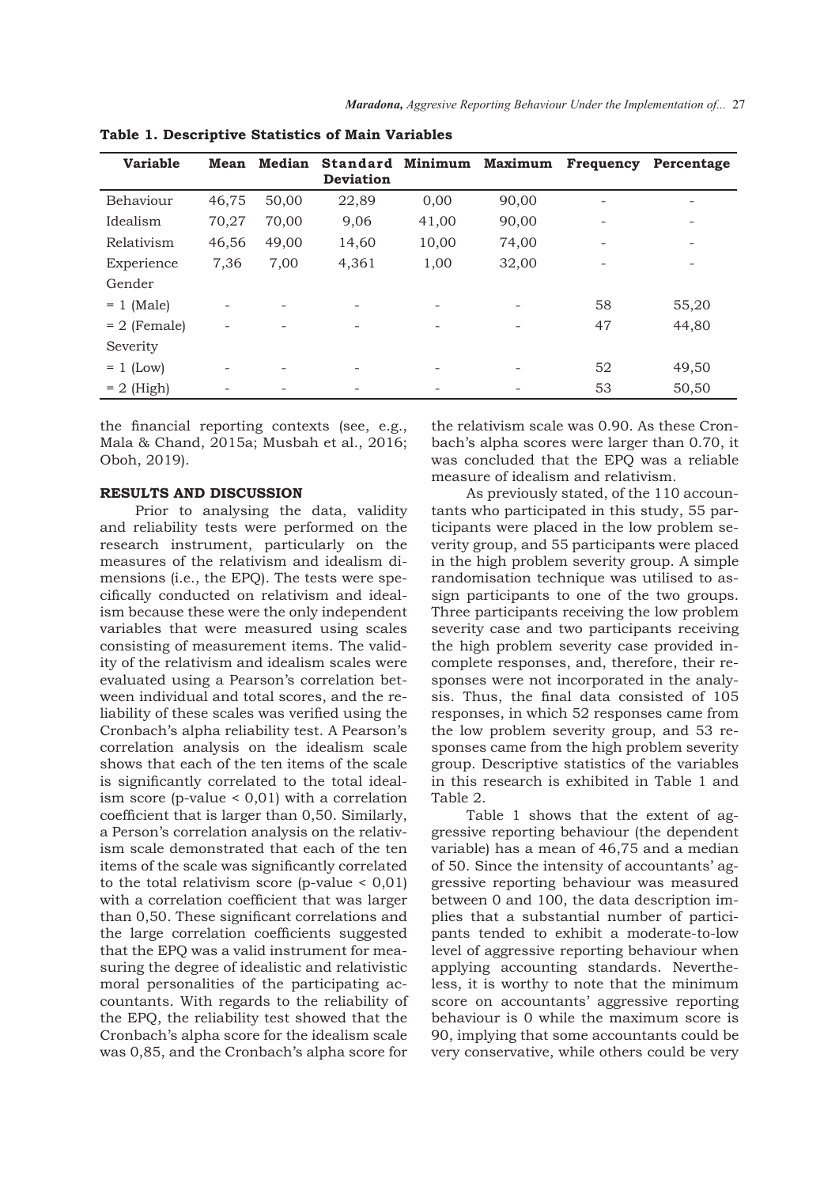| <b>Variable</b> | <b>Mean</b> | Median | <b>Standard</b><br><b>Deviation</b> | Minimum | Maximum | <b>Frequency</b> | Percentage               |
|-----------------|-------------|--------|-------------------------------------|---------|---------|------------------|--------------------------|
| Behaviour       | 46,75       | 50,00  | 22,89                               | 0,00    | 90,00   |                  | -                        |
| Idealism        | 70,27       | 70,00  | 9,06                                | 41,00   | 90,00   |                  | -                        |
| Relativism      | 46,56       | 49,00  | 14,60                               | 10,00   | 74,00   |                  | -                        |
| Experience      | 7,36        | 7,00   | 4,361                               | 1,00    | 32,00   |                  | $\overline{\phantom{0}}$ |
| Gender          |             |        |                                     |         |         |                  |                          |
| $= 1$ (Male)    | -           |        |                                     |         |         | 58               | 55,20                    |
| $= 2$ (Female)  |             |        |                                     |         |         | 47               | 44,80                    |
| Severity        |             |        |                                     |         |         |                  |                          |
| $= 1$ (Low)     | -           |        |                                     |         |         | 52               | 49,50                    |
| $= 2$ (High)    |             |        |                                     |         |         | 53               | 50,50                    |

**Table 1. Descriptive Statistics of Main Variables**

the financial reporting contexts (see, e.g., Mala & Chand, 2015a; Musbah et al., 2016; Oboh, 2019).

#### **RESULTS AND DISCUSSION**

Prior to analysing the data, validity and reliability tests were performed on the research instrument, particularly on the measures of the relativism and idealism dimensions (i.e., the EPQ). The tests were specifically conducted on relativism and idealism because these were the only independent variables that were measured using scales consisting of measurement items. The validity of the relativism and idealism scales were evaluated using a Pearson's correlation between individual and total scores, and the reliability of these scales was verified using the Cronbach's alpha reliability test. A Pearson's correlation analysis on the idealism scale shows that each of the ten items of the scale is significantly correlated to the total idealism score (p-value < 0,01) with a correlation coefficient that is larger than 0,50. Similarly, a Person's correlation analysis on the relativism scale demonstrated that each of the ten items of the scale was significantly correlated to the total relativism score (p-value  $< 0,01$ ) with a correlation coefficient that was larger than 0,50. These significant correlations and the large correlation coefficients suggested that the EPQ was a valid instrument for measuring the degree of idealistic and relativistic moral personalities of the participating accountants. With regards to the reliability of the EPQ, the reliability test showed that the Cronbach's alpha score for the idealism scale was 0,85, and the Cronbach's alpha score for

the relativism scale was 0.90. As these Cronbach's alpha scores were larger than 0.70, it was concluded that the EPQ was a reliable measure of idealism and relativism.

As previously stated, of the 110 accountants who participated in this study, 55 participants were placed in the low problem severity group, and 55 participants were placed in the high problem severity group. A simple randomisation technique was utilised to assign participants to one of the two groups. Three participants receiving the low problem severity case and two participants receiving the high problem severity case provided incomplete responses, and, therefore, their responses were not incorporated in the analysis. Thus, the final data consisted of 105 responses, in which 52 responses came from the low problem severity group, and 53 responses came from the high problem severity group. Descriptive statistics of the variables in this research is exhibited in Table 1 and Table 2.

Table 1 shows that the extent of aggressive reporting behaviour (the dependent variable) has a mean of 46,75 and a median of 50. Since the intensity of accountants' aggressive reporting behaviour was measured between 0 and 100, the data description implies that a substantial number of participants tended to exhibit a moderate-to-low level of aggressive reporting behaviour when applying accounting standards. Nevertheless, it is worthy to note that the minimum score on accountants' aggressive reporting behaviour is 0 while the maximum score is 90, implying that some accountants could be very conservative, while others could be very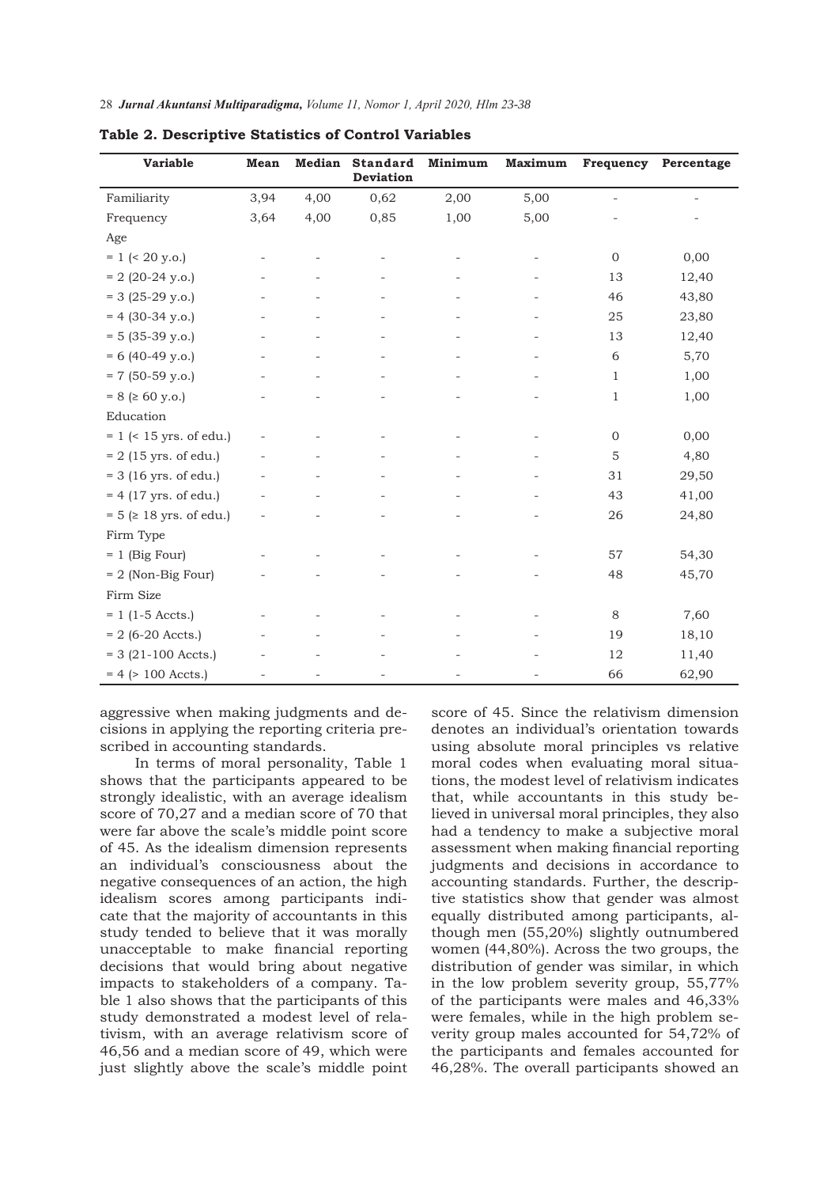| <b>Variable</b>                 | Mean | <b>Median</b> | <b>Standard</b><br>Deviation | Minimum | Maximum | Frequency                | Percentage |
|---------------------------------|------|---------------|------------------------------|---------|---------|--------------------------|------------|
| Familiarity                     | 3,94 | 4,00          | 0,62                         | 2,00    | 5,00    | $\overline{\phantom{a}}$ | $\sim$     |
| Frequency                       | 3,64 | 4,00          | 0,85                         | 1,00    | 5,00    |                          |            |
| Age                             |      |               |                              |         |         |                          |            |
| $= 1$ (< 20 y.o.)               |      |               |                              |         |         | $\overline{0}$           | 0,00       |
| $= 2 (20-24 y.o.)$              |      |               |                              |         |         | 13                       | 12,40      |
| $= 3 (25-29 y.o.)$              |      |               |                              |         |         | 46                       | 43,80      |
| $= 4 (30-34 y.o.)$              |      |               |                              |         |         | 25                       | 23,80      |
| $= 5 (35-39 y.o.)$              |      |               |                              |         |         | 13                       | 12,40      |
| $= 6 (40-49 y.o.)$              |      |               |                              |         |         | 6                        | 5,70       |
| $= 7$ (50-59 y.o.)              |      |               |                              |         |         | 1                        | 1,00       |
| $= 8$ ( $\geq 60$ y.o.)         |      |               |                              |         |         | 1                        | 1,00       |
| Education                       |      |               |                              |         |         |                          |            |
| $= 1$ (< 15 yrs. of edu.)       |      |               |                              |         |         | $\boldsymbol{0}$         | 0,00       |
| $= 2 (15 \text{ yrs. of edu.})$ |      |               |                              |         |         | $\mathbf 5$              | 4,80       |
| $=$ 3 (16 yrs. of edu.)         |      |               |                              |         |         | 31                       | 29,50      |
| $= 4 (17 \text{ yrs. of edu.})$ |      |               |                              |         |         | 43                       | 41,00      |
| $= 5$ ( $\geq 18$ yrs. of edu.) |      |               |                              |         |         | 26                       | 24,80      |
| Firm Type                       |      |               |                              |         |         |                          |            |
| $= 1$ (Big Four)                |      |               |                              |         |         | 57                       | 54,30      |
| $= 2$ (Non-Big Four)            |      |               |                              |         |         | 48                       | 45,70      |
| Firm Size                       |      |               |                              |         |         |                          |            |
| $= 1$ (1-5 Accts.)              |      |               |                              |         |         | 8                        | 7,60       |
| $= 2$ (6-20 Accts.)             |      |               |                              |         |         | 19                       | 18,10      |
| $= 3 (21-100 \text{ Accts.})$   |      |               |                              |         |         | 12                       | 11,40      |
| $= 4$ ( $> 100$ Accts.)         |      |               |                              |         |         | 66                       | 62,90      |

**Table 2. Descriptive Statistics of Control Variables**

aggressive when making judgments and decisions in applying the reporting criteria prescribed in accounting standards.

In terms of moral personality, Table 1 shows that the participants appeared to be strongly idealistic, with an average idealism score of 70,27 and a median score of 70 that were far above the scale's middle point score of 45. As the idealism dimension represents an individual's consciousness about the negative consequences of an action, the high idealism scores among participants indicate that the majority of accountants in this study tended to believe that it was morally unacceptable to make financial reporting decisions that would bring about negative impacts to stakeholders of a company. Table 1 also shows that the participants of this study demonstrated a modest level of relativism, with an average relativism score of 46,56 and a median score of 49, which were just slightly above the scale's middle point score of 45. Since the relativism dimension denotes an individual's orientation towards using absolute moral principles vs relative moral codes when evaluating moral situations, the modest level of relativism indicates that, while accountants in this study believed in universal moral principles, they also had a tendency to make a subjective moral assessment when making financial reporting judgments and decisions in accordance to accounting standards. Further, the descriptive statistics show that gender was almost equally distributed among participants, although men (55,20%) slightly outnumbered women (44,80%). Across the two groups, the distribution of gender was similar, in which in the low problem severity group, 55,77% of the participants were males and 46,33% were females, while in the high problem severity group males accounted for 54,72% of the participants and females accounted for 46,28%. The overall participants showed an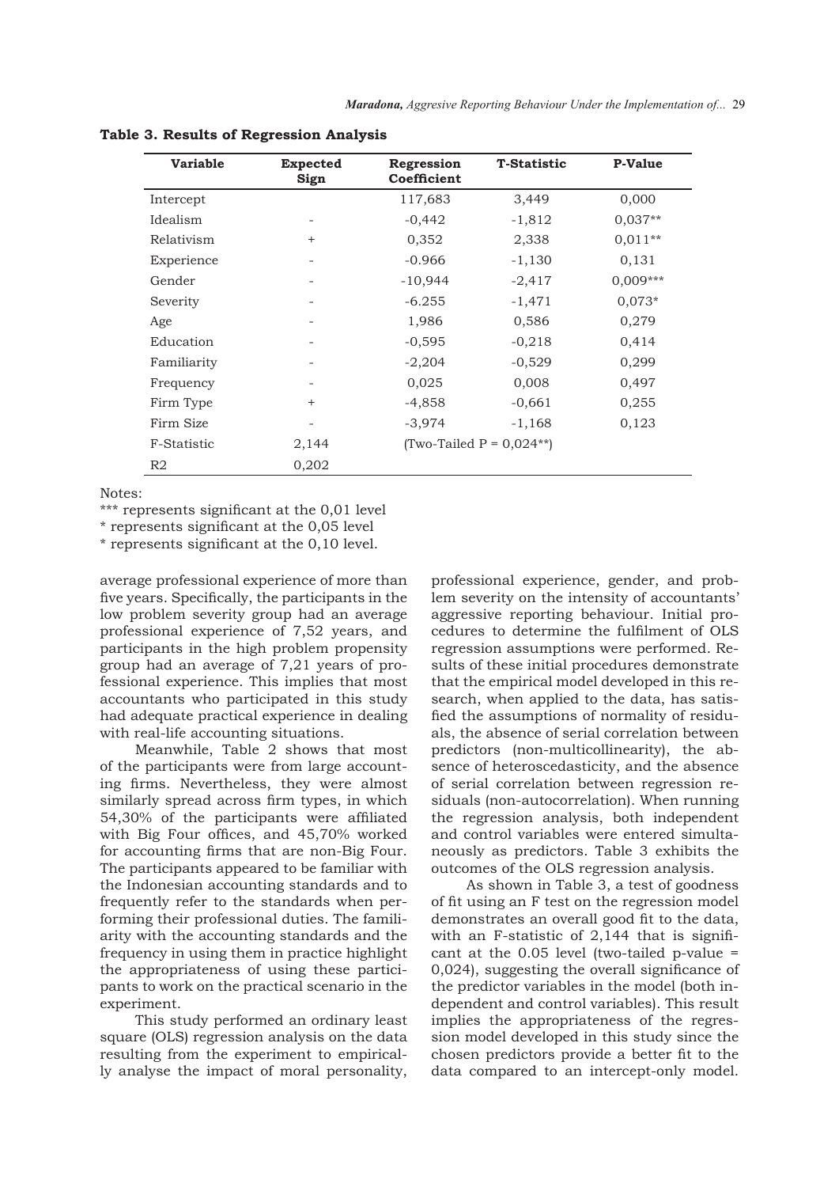| <b>Variable</b> | Expected<br>Sign | Regression<br>Coefficient | <b>T-Statistic</b>          | <b>P-Value</b> |  |  |
|-----------------|------------------|---------------------------|-----------------------------|----------------|--|--|
| Intercept       |                  | 117,683                   | 3,449                       | 0,000          |  |  |
| Idealism        | -                | $-0,442$                  | $-1,812$                    | $0.037**$      |  |  |
| Relativism      | $^{+}$           | 0,352                     | 2,338                       | $0.011**$      |  |  |
| Experience      |                  | $-0.966$                  | $-1,130$                    | 0,131          |  |  |
| Gender          | -                | $-10,944$                 | $-2,417$                    | $0,009***$     |  |  |
| Severity        |                  | $-6.255$                  | $-1,471$                    | $0.073*$       |  |  |
| Age             |                  | 1,986                     | 0,586                       | 0,279          |  |  |
| Education       |                  | $-0,595$                  | $-0,218$                    | 0,414          |  |  |
| Familiarity     |                  | $-2,204$                  | $-0,529$                    | 0,299          |  |  |
| Frequency       | -                | 0,025                     | 0,008                       | 0,497          |  |  |
| Firm Type       | $^{+}$           | $-4,858$                  | $-0.661$                    | 0,255          |  |  |
| Firm Size       |                  | $-3,974$                  | $-1,168$                    | 0,123          |  |  |
| F-Statistic     | 2,144            |                           | (Two-Tailed $P = 0.024**$ ) |                |  |  |
| R2              | 0,202            |                           |                             |                |  |  |

**Table 3. Results of Regression Analysis**

Notes:

\*\*\* represents significant at the 0,01 level

\* represents significant at the 0,05 level

\* represents significant at the 0,10 level.

average professional experience of more than five years. Specifically, the participants in the low problem severity group had an average professional experience of 7,52 years, and participants in the high problem propensity group had an average of 7,21 years of professional experience. This implies that most accountants who participated in this study had adequate practical experience in dealing with real-life accounting situations.

Meanwhile, Table 2 shows that most of the participants were from large accounting firms. Nevertheless, they were almost similarly spread across firm types, in which 54,30% of the participants were affiliated with Big Four offices, and 45,70% worked for accounting firms that are non-Big Four. The participants appeared to be familiar with the Indonesian accounting standards and to frequently refer to the standards when performing their professional duties. The familiarity with the accounting standards and the frequency in using them in practice highlight the appropriateness of using these participants to work on the practical scenario in the experiment.

This study performed an ordinary least square (OLS) regression analysis on the data resulting from the experiment to empirically analyse the impact of moral personality,

professional experience, gender, and problem severity on the intensity of accountants' aggressive reporting behaviour. Initial procedures to determine the fulfilment of OLS regression assumptions were performed. Results of these initial procedures demonstrate that the empirical model developed in this research, when applied to the data, has satisfied the assumptions of normality of residuals, the absence of serial correlation between predictors (non-multicollinearity), the absence of heteroscedasticity, and the absence of serial correlation between regression residuals (non-autocorrelation). When running the regression analysis, both independent and control variables were entered simultaneously as predictors. Table 3 exhibits the outcomes of the OLS regression analysis.

As shown in Table 3, a test of goodness of fit using an F test on the regression model demonstrates an overall good fit to the data, with an F-statistic of 2,144 that is significant at the 0.05 level (two-tailed p-value = 0,024), suggesting the overall significance of the predictor variables in the model (both independent and control variables). This result implies the appropriateness of the regression model developed in this study since the chosen predictors provide a better fit to the data compared to an intercept-only model.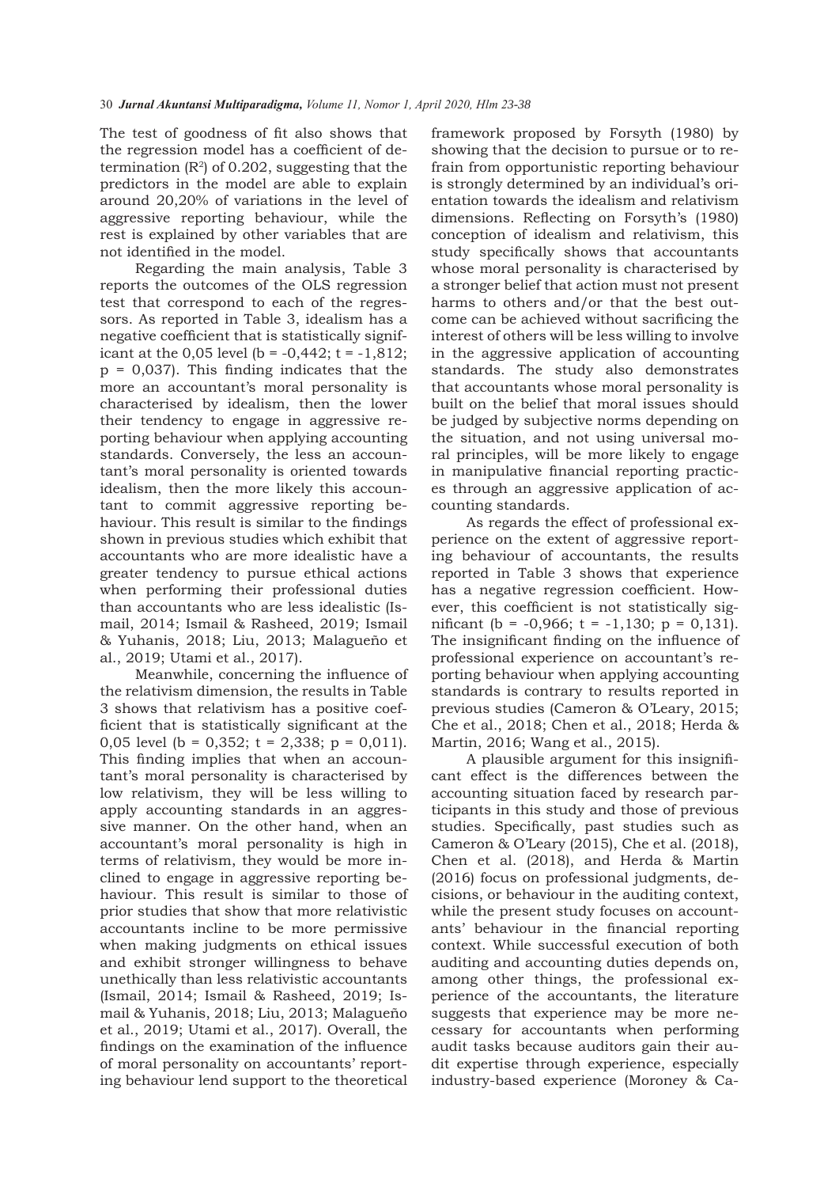The test of goodness of fit also shows that the regression model has a coefficient of determination  $(R<sup>2</sup>)$  of 0.202, suggesting that the predictors in the model are able to explain around 20,20% of variations in the level of aggressive reporting behaviour, while the rest is explained by other variables that are not identified in the model.

Regarding the main analysis, Table 3 reports the outcomes of the OLS regression test that correspond to each of the regressors. As reported in Table 3, idealism has a negative coefficient that is statistically significant at the 0,05 level (b =  $-0,442$ ; t =  $-1,812$ ;  $p = 0.037$ . This finding indicates that the more an accountant's moral personality is characterised by idealism, then the lower their tendency to engage in aggressive reporting behaviour when applying accounting standards. Conversely, the less an accountant's moral personality is oriented towards idealism, then the more likely this accountant to commit aggressive reporting behaviour. This result is similar to the findings shown in previous studies which exhibit that accountants who are more idealistic have a greater tendency to pursue ethical actions when performing their professional duties than accountants who are less idealistic (Ismail, 2014; Ismail & Rasheed, 2019; Ismail & Yuhanis, 2018; Liu, 2013; Malagueño et al., 2019; Utami et al., 2017).

Meanwhile, concerning the influence of the relativism dimension, the results in Table 3 shows that relativism has a positive coefficient that is statistically significant at the 0,05 level (b = 0,352; t = 2,338; p = 0,011). This finding implies that when an accountant's moral personality is characterised by low relativism, they will be less willing to apply accounting standards in an aggressive manner. On the other hand, when an accountant's moral personality is high in terms of relativism, they would be more inclined to engage in aggressive reporting behaviour. This result is similar to those of prior studies that show that more relativistic accountants incline to be more permissive when making judgments on ethical issues and exhibit stronger willingness to behave unethically than less relativistic accountants (Ismail, 2014; Ismail & Rasheed, 2019; Ismail & Yuhanis, 2018; Liu, 2013; Malagueño et al., 2019; Utami et al., 2017). Overall, the findings on the examination of the influence of moral personality on accountants' reporting behaviour lend support to the theoretical

framework proposed by Forsyth (1980) by showing that the decision to pursue or to refrain from opportunistic reporting behaviour is strongly determined by an individual's orientation towards the idealism and relativism dimensions. Reflecting on Forsyth's (1980) conception of idealism and relativism, this study specifically shows that accountants whose moral personality is characterised by a stronger belief that action must not present harms to others and/or that the best outcome can be achieved without sacrificing the interest of others will be less willing to involve in the aggressive application of accounting standards. The study also demonstrates that accountants whose moral personality is built on the belief that moral issues should be judged by subjective norms depending on the situation, and not using universal moral principles, will be more likely to engage in manipulative financial reporting practices through an aggressive application of accounting standards.

As regards the effect of professional experience on the extent of aggressive reporting behaviour of accountants, the results reported in Table 3 shows that experience has a negative regression coefficient. However, this coefficient is not statistically significant (b =  $-0,966$ ; t =  $-1,130$ ; p = 0,131). The insignificant finding on the influence of professional experience on accountant's reporting behaviour when applying accounting standards is contrary to results reported in previous studies (Cameron & O'Leary, 2015; Che et al., 2018; Chen et al., 2018; Herda & Martin, 2016; Wang et al., 2015).

A plausible argument for this insignificant effect is the differences between the accounting situation faced by research participants in this study and those of previous studies. Specifically, past studies such as Cameron & O'Leary (2015), Che et al. (2018), Chen et al. (2018), and Herda & Martin (2016) focus on professional judgments, decisions, or behaviour in the auditing context, while the present study focuses on accountants' behaviour in the financial reporting context. While successful execution of both auditing and accounting duties depends on, among other things, the professional experience of the accountants, the literature suggests that experience may be more necessary for accountants when performing audit tasks because auditors gain their audit expertise through experience, especially industry-based experience (Moroney & Ca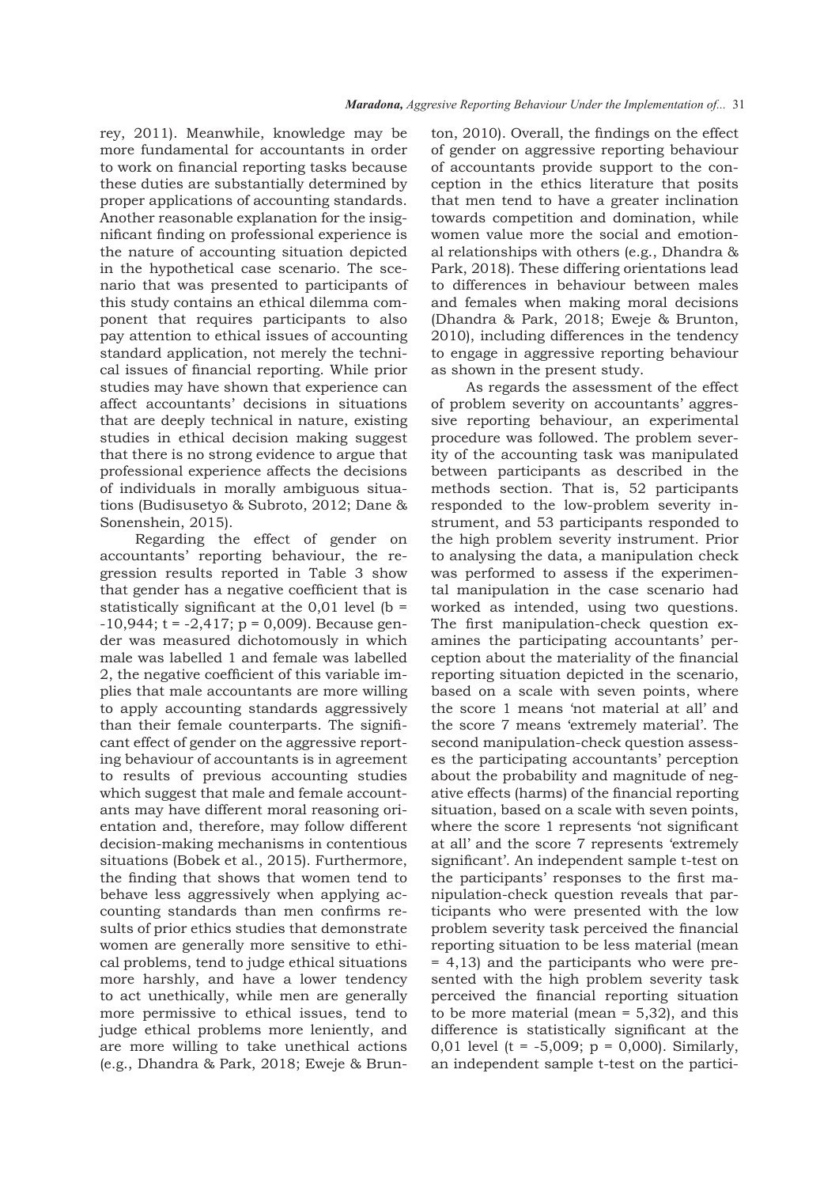rey, 2011). Meanwhile, knowledge may be more fundamental for accountants in order to work on financial reporting tasks because these duties are substantially determined by proper applications of accounting standards. Another reasonable explanation for the insignificant finding on professional experience is the nature of accounting situation depicted in the hypothetical case scenario. The scenario that was presented to participants of this study contains an ethical dilemma component that requires participants to also pay attention to ethical issues of accounting standard application, not merely the technical issues of financial reporting. While prior studies may have shown that experience can affect accountants' decisions in situations that are deeply technical in nature, existing studies in ethical decision making suggest that there is no strong evidence to argue that professional experience affects the decisions of individuals in morally ambiguous situations (Budisusetyo & Subroto, 2012; Dane & Sonenshein, 2015).

Regarding the effect of gender on accountants' reporting behaviour, the regression results reported in Table 3 show that gender has a negative coefficient that is statistically significant at the  $0,01$  level (b =  $-10,944$ ; t =  $-2,417$ ; p = 0,009). Because gender was measured dichotomously in which male was labelled 1 and female was labelled 2, the negative coefficient of this variable implies that male accountants are more willing to apply accounting standards aggressively than their female counterparts. The significant effect of gender on the aggressive reporting behaviour of accountants is in agreement to results of previous accounting studies which suggest that male and female accountants may have different moral reasoning orientation and, therefore, may follow different decision-making mechanisms in contentious situations (Bobek et al., 2015). Furthermore, the finding that shows that women tend to behave less aggressively when applying accounting standards than men confirms results of prior ethics studies that demonstrate women are generally more sensitive to ethical problems, tend to judge ethical situations more harshly, and have a lower tendency to act unethically, while men are generally more permissive to ethical issues, tend to judge ethical problems more leniently, and are more willing to take unethical actions (e.g., Dhandra & Park, 2018; Eweje & Brunton, 2010). Overall, the findings on the effect of gender on aggressive reporting behaviour of accountants provide support to the conception in the ethics literature that posits that men tend to have a greater inclination towards competition and domination, while women value more the social and emotional relationships with others (e.g., Dhandra & Park, 2018). These differing orientations lead to differences in behaviour between males and females when making moral decisions (Dhandra & Park, 2018; Eweje & Brunton, 2010), including differences in the tendency to engage in aggressive reporting behaviour as shown in the present study.

As regards the assessment of the effect of problem severity on accountants' aggressive reporting behaviour, an experimental procedure was followed. The problem severity of the accounting task was manipulated between participants as described in the methods section. That is, 52 participants responded to the low-problem severity instrument, and 53 participants responded to the high problem severity instrument. Prior to analysing the data, a manipulation check was performed to assess if the experimental manipulation in the case scenario had worked as intended, using two questions. The first manipulation-check question examines the participating accountants' perception about the materiality of the financial reporting situation depicted in the scenario, based on a scale with seven points, where the score 1 means 'not material at all' and the score 7 means 'extremely material'. The second manipulation-check question assesses the participating accountants' perception about the probability and magnitude of negative effects (harms) of the financial reporting situation, based on a scale with seven points, where the score 1 represents 'not significant at all' and the score 7 represents 'extremely significant'. An independent sample t-test on the participants' responses to the first manipulation-check question reveals that participants who were presented with the low problem severity task perceived the financial reporting situation to be less material (mean = 4,13) and the participants who were presented with the high problem severity task perceived the financial reporting situation to be more material (mean = 5,32), and this difference is statistically significant at the 0,01 level (t =  $-5,009$ ; p = 0,000). Similarly, an independent sample t-test on the partici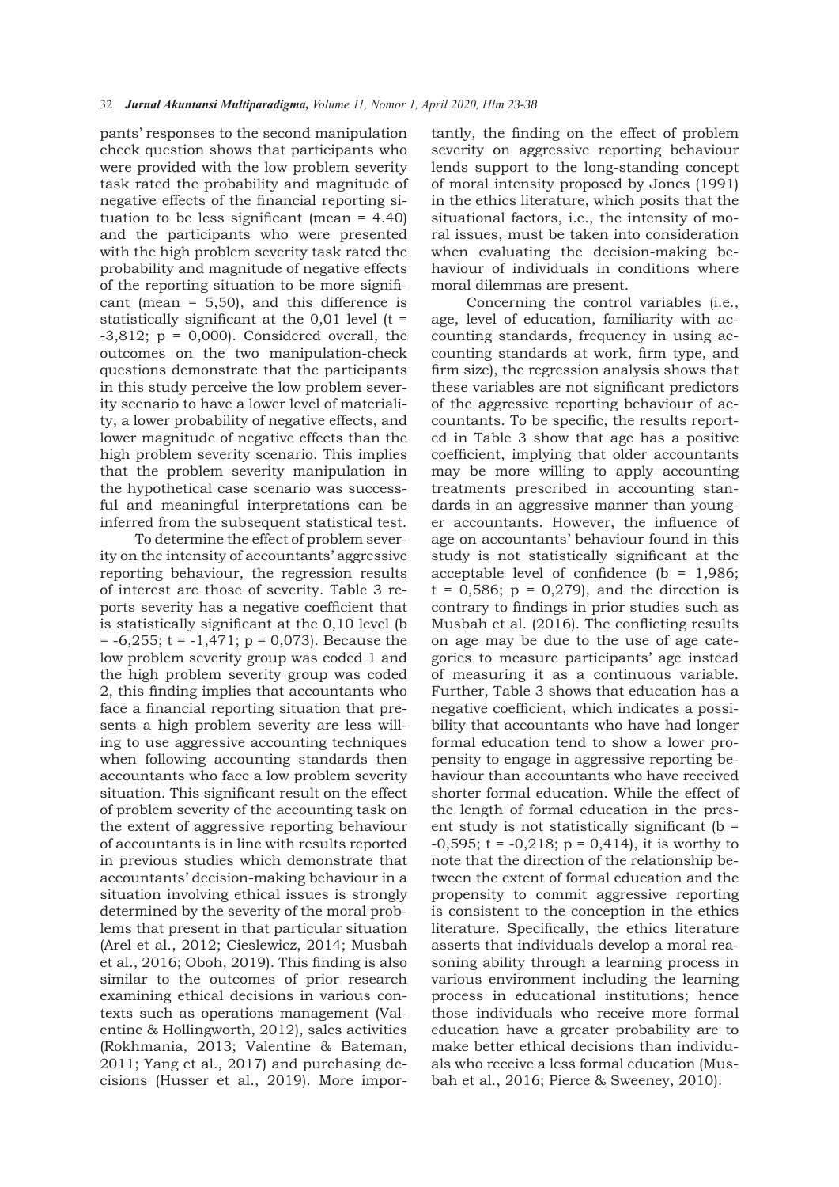pants' responses to the second manipulation check question shows that participants who were provided with the low problem severity task rated the probability and magnitude of negative effects of the financial reporting situation to be less significant (mean = 4.40) and the participants who were presented with the high problem severity task rated the probability and magnitude of negative effects of the reporting situation to be more significant (mean = 5,50), and this difference is statistically significant at the  $0.01$  level (t =  $-3,812$ ;  $p = 0,000$ . Considered overall, the outcomes on the two manipulation-check questions demonstrate that the participants in this study perceive the low problem severity scenario to have a lower level of materiality, a lower probability of negative effects, and lower magnitude of negative effects than the high problem severity scenario. This implies that the problem severity manipulation in the hypothetical case scenario was successful and meaningful interpretations can be inferred from the subsequent statistical test.

To determine the effect of problem severity on the intensity of accountants' aggressive reporting behaviour, the regression results of interest are those of severity. Table 3 reports severity has a negative coefficient that is statistically significant at the 0,10 level (b  $= -6,255$ ; t =  $-1,471$ ; p = 0,073). Because the low problem severity group was coded 1 and the high problem severity group was coded 2, this finding implies that accountants who face a financial reporting situation that presents a high problem severity are less willing to use aggressive accounting techniques when following accounting standards then accountants who face a low problem severity situation. This significant result on the effect of problem severity of the accounting task on the extent of aggressive reporting behaviour of accountants is in line with results reported in previous studies which demonstrate that accountants' decision-making behaviour in a situation involving ethical issues is strongly determined by the severity of the moral problems that present in that particular situation (Arel et al., 2012; Cieslewicz, 2014; Musbah et al., 2016; Oboh, 2019). This finding is also similar to the outcomes of prior research examining ethical decisions in various contexts such as operations management (Valentine & Hollingworth, 2012), sales activities (Rokhmania, 2013; Valentine & Bateman, 2011; Yang et al., 2017) and purchasing decisions (Husser et al., 2019). More impor-

tantly, the finding on the effect of problem severity on aggressive reporting behaviour lends support to the long-standing concept of moral intensity proposed by Jones (1991) in the ethics literature, which posits that the situational factors, i.e., the intensity of moral issues, must be taken into consideration when evaluating the decision-making behaviour of individuals in conditions where moral dilemmas are present.

Concerning the control variables (i.e., age, level of education, familiarity with accounting standards, frequency in using accounting standards at work, firm type, and firm size), the regression analysis shows that these variables are not significant predictors of the aggressive reporting behaviour of accountants. To be specific, the results reported in Table 3 show that age has a positive coefficient, implying that older accountants may be more willing to apply accounting treatments prescribed in accounting standards in an aggressive manner than younger accountants. However, the influence of age on accountants' behaviour found in this study is not statistically significant at the acceptable level of confidence ( $b = 1,986$ ;  $t = 0,586$ ;  $p = 0,279$ , and the direction is contrary to findings in prior studies such as Musbah et al. (2016). The conflicting results on age may be due to the use of age categories to measure participants' age instead of measuring it as a continuous variable. Further, Table 3 shows that education has a negative coefficient, which indicates a possibility that accountants who have had longer formal education tend to show a lower propensity to engage in aggressive reporting behaviour than accountants who have received shorter formal education. While the effect of the length of formal education in the present study is not statistically significant (b =  $-0,595$ ; t =  $-0,218$ ; p = 0,414), it is worthy to note that the direction of the relationship between the extent of formal education and the propensity to commit aggressive reporting is consistent to the conception in the ethics literature. Specifically, the ethics literature asserts that individuals develop a moral reasoning ability through a learning process in various environment including the learning process in educational institutions; hence those individuals who receive more formal education have a greater probability are to make better ethical decisions than individuals who receive a less formal education (Musbah et al., 2016; Pierce & Sweeney, 2010).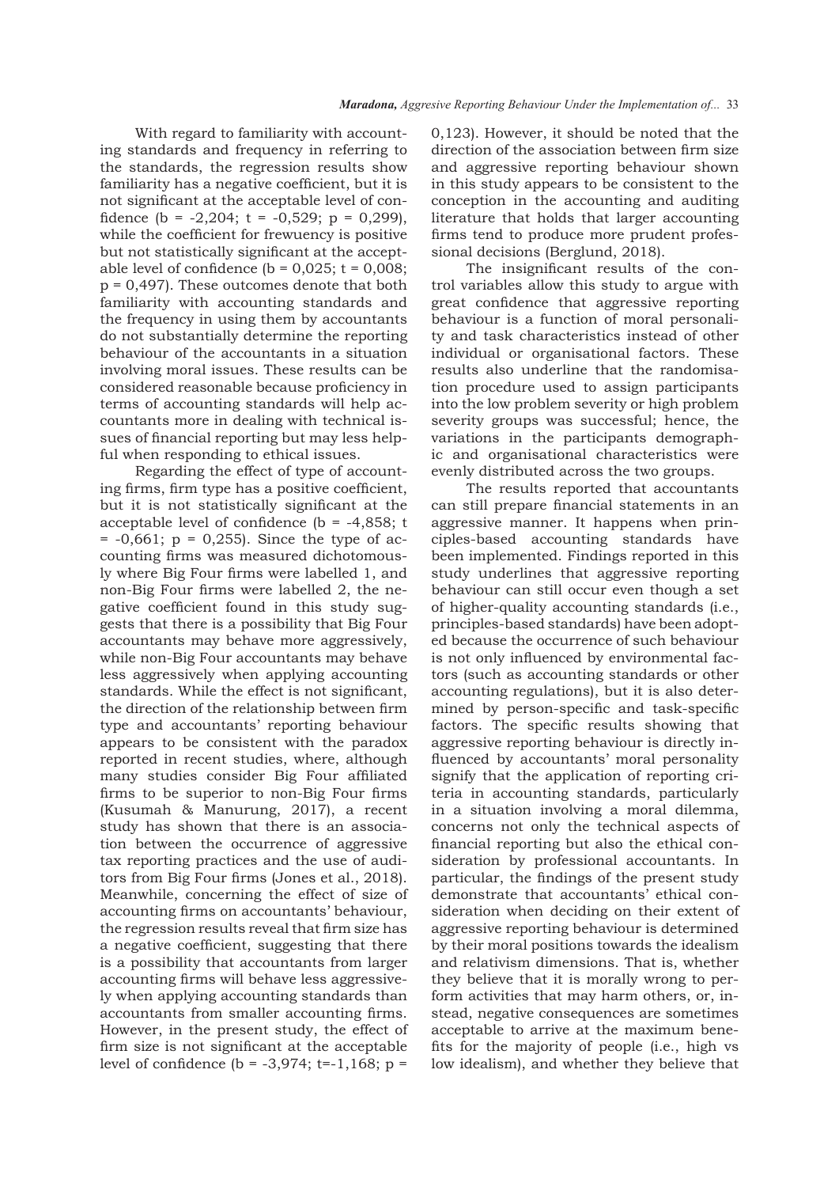With regard to familiarity with accounting standards and frequency in referring to the standards, the regression results show familiarity has a negative coefficient, but it is not significant at the acceptable level of confidence (b =  $-2,204$ ; t =  $-0,529$ ; p = 0,299), while the coefficient for frewuency is positive but not statistically significant at the acceptable level of confidence ( $b = 0.025$ ;  $t = 0.008$ ;  $p = 0,497$ . These outcomes denote that both familiarity with accounting standards and the frequency in using them by accountants do not substantially determine the reporting behaviour of the accountants in a situation involving moral issues. These results can be considered reasonable because proficiency in terms of accounting standards will help accountants more in dealing with technical issues of financial reporting but may less helpful when responding to ethical issues.

Regarding the effect of type of accounting firms, firm type has a positive coefficient, but it is not statistically significant at the acceptable level of confidence ( $b = -4,858$ ; t  $= -0.661$ ;  $p = 0.255$ ). Since the type of accounting firms was measured dichotomously where Big Four firms were labelled 1, and non-Big Four firms were labelled 2, the negative coefficient found in this study suggests that there is a possibility that Big Four accountants may behave more aggressively, while non-Big Four accountants may behave less aggressively when applying accounting standards. While the effect is not significant, the direction of the relationship between firm type and accountants' reporting behaviour appears to be consistent with the paradox reported in recent studies, where, although many studies consider Big Four affiliated firms to be superior to non-Big Four firms (Kusumah & Manurung, 2017), a recent study has shown that there is an association between the occurrence of aggressive tax reporting practices and the use of auditors from Big Four firms (Jones et al., 2018). Meanwhile, concerning the effect of size of accounting firms on accountants' behaviour, the regression results reveal that firm size has a negative coefficient, suggesting that there is a possibility that accountants from larger accounting firms will behave less aggressively when applying accounting standards than accountants from smaller accounting firms. However, in the present study, the effect of firm size is not significant at the acceptable level of confidence  $(b = -3.974; t=-1.168; p =$ 

0,123). However, it should be noted that the direction of the association between firm size and aggressive reporting behaviour shown in this study appears to be consistent to the conception in the accounting and auditing literature that holds that larger accounting firms tend to produce more prudent professional decisions (Berglund, 2018).

The insignificant results of the control variables allow this study to argue with great confidence that aggressive reporting behaviour is a function of moral personality and task characteristics instead of other individual or organisational factors. These results also underline that the randomisation procedure used to assign participants into the low problem severity or high problem severity groups was successful; hence, the variations in the participants demographic and organisational characteristics were evenly distributed across the two groups.

The results reported that accountants can still prepare financial statements in an aggressive manner. It happens when principles-based accounting standards have been implemented. Findings reported in this study underlines that aggressive reporting behaviour can still occur even though a set of higher-quality accounting standards (i.e., principles-based standards) have been adopted because the occurrence of such behaviour is not only influenced by environmental factors (such as accounting standards or other accounting regulations), but it is also determined by person-specific and task-specific factors. The specific results showing that aggressive reporting behaviour is directly influenced by accountants' moral personality signify that the application of reporting criteria in accounting standards, particularly in a situation involving a moral dilemma, concerns not only the technical aspects of financial reporting but also the ethical consideration by professional accountants. In particular, the findings of the present study demonstrate that accountants' ethical consideration when deciding on their extent of aggressive reporting behaviour is determined by their moral positions towards the idealism and relativism dimensions. That is, whether they believe that it is morally wrong to perform activities that may harm others, or, instead, negative consequences are sometimes acceptable to arrive at the maximum benefits for the majority of people (i.e., high vs low idealism), and whether they believe that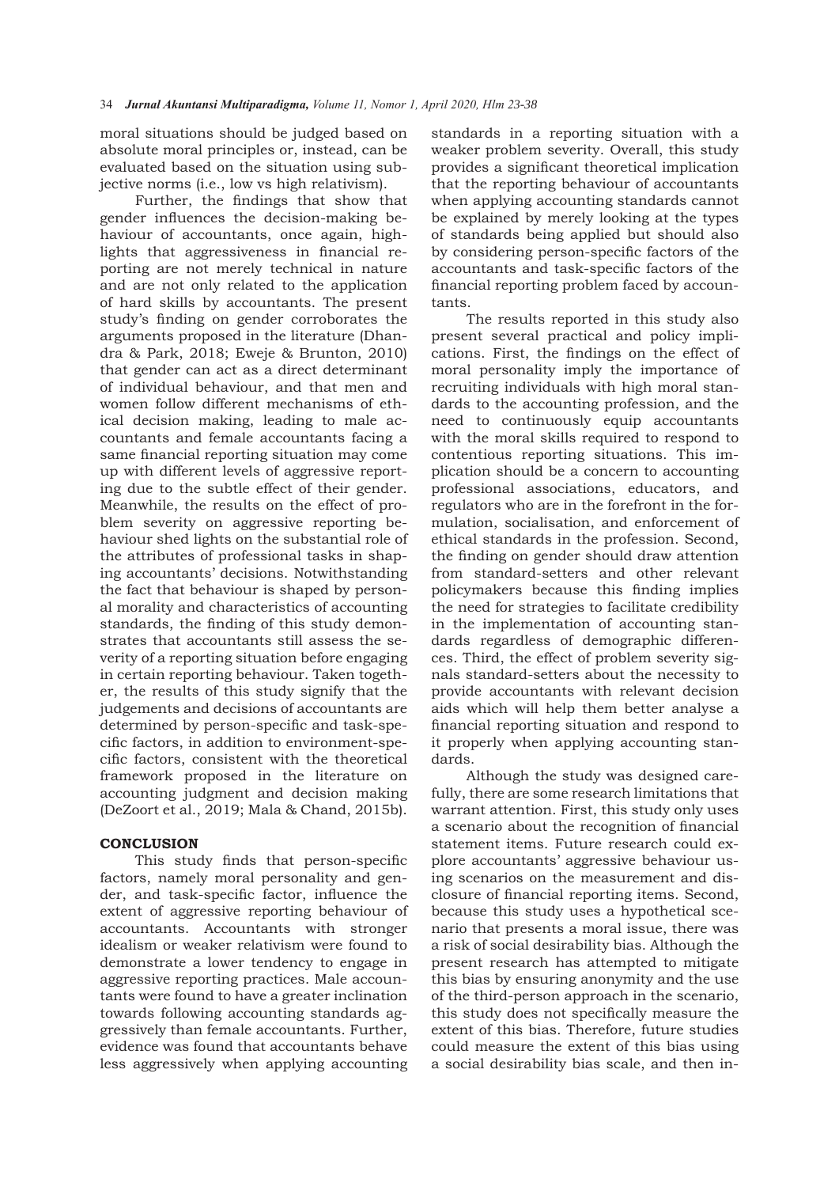moral situations should be judged based on absolute moral principles or, instead, can be evaluated based on the situation using subjective norms (i.e., low vs high relativism).

Further, the findings that show that gender influences the decision-making behaviour of accountants, once again, highlights that aggressiveness in financial reporting are not merely technical in nature and are not only related to the application of hard skills by accountants. The present study's finding on gender corroborates the arguments proposed in the literature (Dhandra & Park, 2018; Eweje & Brunton, 2010) that gender can act as a direct determinant of individual behaviour, and that men and women follow different mechanisms of ethical decision making, leading to male accountants and female accountants facing a same financial reporting situation may come up with different levels of aggressive reporting due to the subtle effect of their gender. Meanwhile, the results on the effect of problem severity on aggressive reporting behaviour shed lights on the substantial role of the attributes of professional tasks in shaping accountants' decisions. Notwithstanding the fact that behaviour is shaped by personal morality and characteristics of accounting standards, the finding of this study demonstrates that accountants still assess the severity of a reporting situation before engaging in certain reporting behaviour. Taken together, the results of this study signify that the judgements and decisions of accountants are determined by person-specific and task-specific factors, in addition to environment-specific factors, consistent with the theoretical framework proposed in the literature on accounting judgment and decision making (DeZoort et al., 2019; Mala & Chand, 2015b).

### **CONCLUSION**

This study finds that person-specific factors, namely moral personality and gender, and task-specific factor, influence the extent of aggressive reporting behaviour of accountants. Accountants with stronger idealism or weaker relativism were found to demonstrate a lower tendency to engage in aggressive reporting practices. Male accountants were found to have a greater inclination towards following accounting standards aggressively than female accountants. Further, evidence was found that accountants behave less aggressively when applying accounting

standards in a reporting situation with a weaker problem severity. Overall, this study provides a significant theoretical implication that the reporting behaviour of accountants when applying accounting standards cannot be explained by merely looking at the types of standards being applied but should also by considering person-specific factors of the accountants and task-specific factors of the financial reporting problem faced by accountants.

The results reported in this study also present several practical and policy implications. First, the findings on the effect of moral personality imply the importance of recruiting individuals with high moral standards to the accounting profession, and the need to continuously equip accountants with the moral skills required to respond to contentious reporting situations. This implication should be a concern to accounting professional associations, educators, and regulators who are in the forefront in the formulation, socialisation, and enforcement of ethical standards in the profession. Second, the finding on gender should draw attention from standard-setters and other relevant policymakers because this finding implies the need for strategies to facilitate credibility in the implementation of accounting standards regardless of demographic differences. Third, the effect of problem severity signals standard-setters about the necessity to provide accountants with relevant decision aids which will help them better analyse a financial reporting situation and respond to it properly when applying accounting standards.

Although the study was designed carefully, there are some research limitations that warrant attention. First, this study only uses a scenario about the recognition of financial statement items. Future research could explore accountants' aggressive behaviour using scenarios on the measurement and disclosure of financial reporting items. Second, because this study uses a hypothetical scenario that presents a moral issue, there was a risk of social desirability bias. Although the present research has attempted to mitigate this bias by ensuring anonymity and the use of the third-person approach in the scenario, this study does not specifically measure the extent of this bias. Therefore, future studies could measure the extent of this bias using a social desirability bias scale, and then in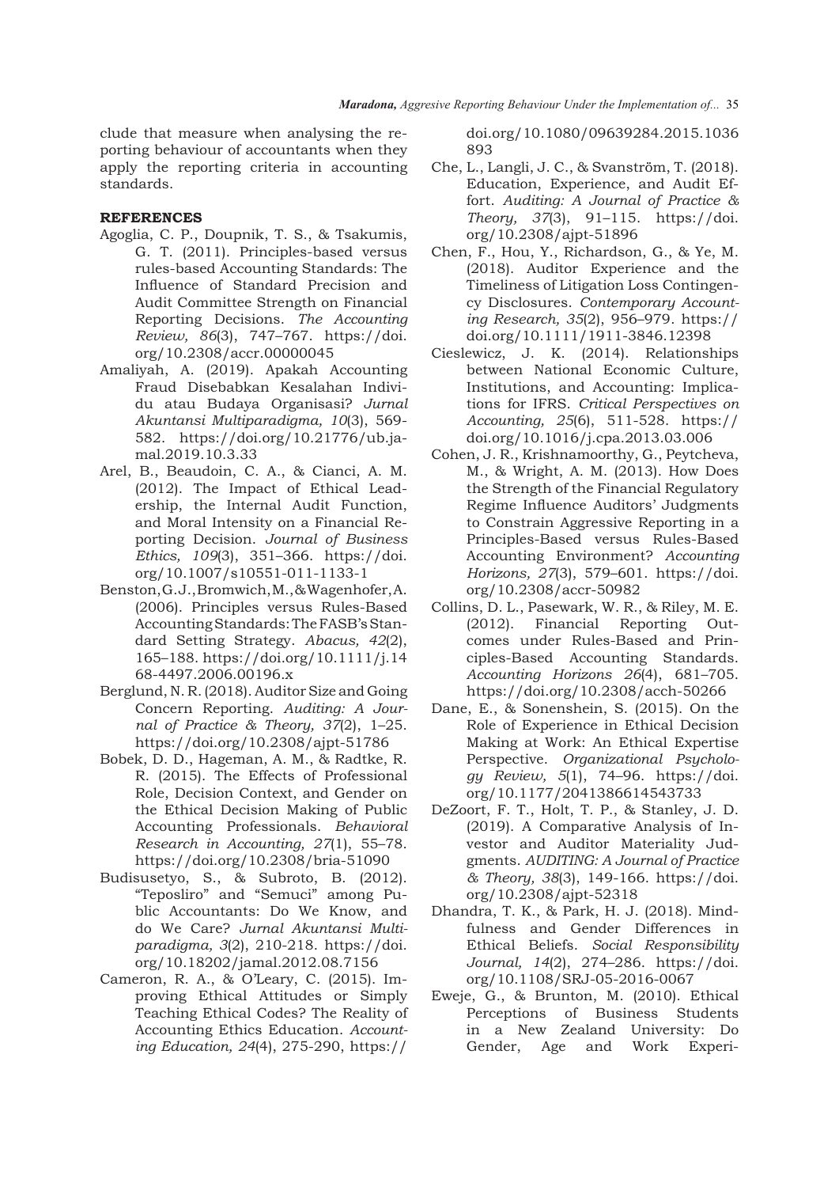clude that measure when analysing the reporting behaviour of accountants when they apply the reporting criteria in accounting standards.

# **REFERENCES**

- Agoglia, C. P., Doupnik, T. S., & Tsakumis, G. T. (2011). Principles-based versus rules-based Accounting Standards: The Influence of Standard Precision and Audit Committee Strength on Financial Reporting Decisions. *The Accounting Review, 86*(3), 747–767. https://doi. org/10.2308/accr.00000045
- Amaliyah, A. (2019). Apakah Accounting Fraud Disebabkan Kesalahan Individu atau Budaya Organisasi? *Jurnal Akuntansi Multiparadigma, 10*(3), 569- 582. https://doi.org/10.21776/ub.jamal.2019.10.3.33
- Arel, B., Beaudoin, C. A., & Cianci, A. M. (2012). The Impact of Ethical Leadership, the Internal Audit Function, and Moral Intensity on a Financial Reporting Decision. *Journal of Business Ethics, 109*(3), 351–366. https://doi. org/10.1007/s10551-011-1133-1
- Benston, G. J., Bromwich, M., & Wagenhofer, A. (2006). Principles versus Rules-Based Accounting Standards: The FASB's Standard Setting Strategy. *Abacus, 42*(2), 165–188. https://doi.org/10.1111/j.14 68-4497.2006.00196.x
- Berglund, N. R. (2018). Auditor Size and Going Concern Reporting. *Auditing: A Journal of Practice & Theory, 37*(2), 1–25. https://doi.org/10.2308/ajpt-51786
- Bobek, D. D., Hageman, A. M., & Radtke, R. R. (2015). The Effects of Professional Role, Decision Context, and Gender on the Ethical Decision Making of Public Accounting Professionals. *Behavioral Research in Accounting, 27*(1), 55–78. https://doi.org/10.2308/bria-51090
- Budisusetyo, S., & Subroto, B. (2012). "Teposliro" and "Semuci" among Public Accountants: Do We Know, and do We Care? *Jurnal Akuntansi Multiparadigma, 3*(2), 210-218. https://doi. org/10.18202/jamal.2012.08.7156
- Cameron, R. A., & O'Leary, C. (2015). Improving Ethical Attitudes or Simply Teaching Ethical Codes? The Reality of Accounting Ethics Education. *Accounting Education, 24*(4), 275-290, https://

doi.org/10.1080/09639284.2015.1036 893

- Che, L., Langli, J. C., & Svanström, T. (2018). Education, Experience, and Audit Effort. *Auditing: A Journal of Practice & Theory, 37*(3), 91–115. https://doi. org/10.2308/ajpt-51896
- Chen, F., Hou, Y., Richardson, G., & Ye, M. (2018). Auditor Experience and the Timeliness of Litigation Loss Contingency Disclosures. *Contemporary Accounting Research, 35*(2), 956–979. https:// doi.org/10.1111/1911-3846.12398
- Cieslewicz, J. K. (2014). Relationships between National Economic Culture, Institutions, and Accounting: Implications for IFRS. *Critical Perspectives on Accounting, 25*(6), 511-528. https:// doi.org/10.1016/j.cpa.2013.03.006
- Cohen, J. R., Krishnamoorthy, G., Peytcheva, M., & Wright, A. M. (2013). How Does the Strength of the Financial Regulatory Regime Influence Auditors' Judgments to Constrain Aggressive Reporting in a Principles-Based versus Rules-Based Accounting Environment? *Accounting Horizons, 27*(3), 579–601. https://doi. org/10.2308/accr-50982
- Collins, D. L., Pasewark, W. R., & Riley, M. E. (2012). Financial Reporting Outcomes under Rules-Based and Principles-Based Accounting Standards. *Accounting Horizons 26*(4), 681–705. https://doi.org/10.2308/acch-50266
- Dane, E., & Sonenshein, S. (2015). On the Role of Experience in Ethical Decision Making at Work: An Ethical Expertise Perspective. *Organizational Psychology Review, 5*(1), 74–96. https://doi. org/10.1177/2041386614543733
- DeZoort, F. T., Holt, T. P., & Stanley, J. D. (2019). A Comparative Analysis of Investor and Auditor Materiality Judgments. *AUDITING: A Journal of Practice & Theory, 38*(3), 149-166. https://doi. org/10.2308/ajpt-52318
- Dhandra, T. K., & Park, H. J. (2018). Mindfulness and Gender Differences in Ethical Beliefs. *Social Responsibility Journal, 14*(2), 274–286. https://doi. org/10.1108/SRJ-05-2016-0067
- Eweje, G., & Brunton, M. (2010). Ethical Perceptions of Business Students in a New Zealand University: Do Gender, Age and Work Experi-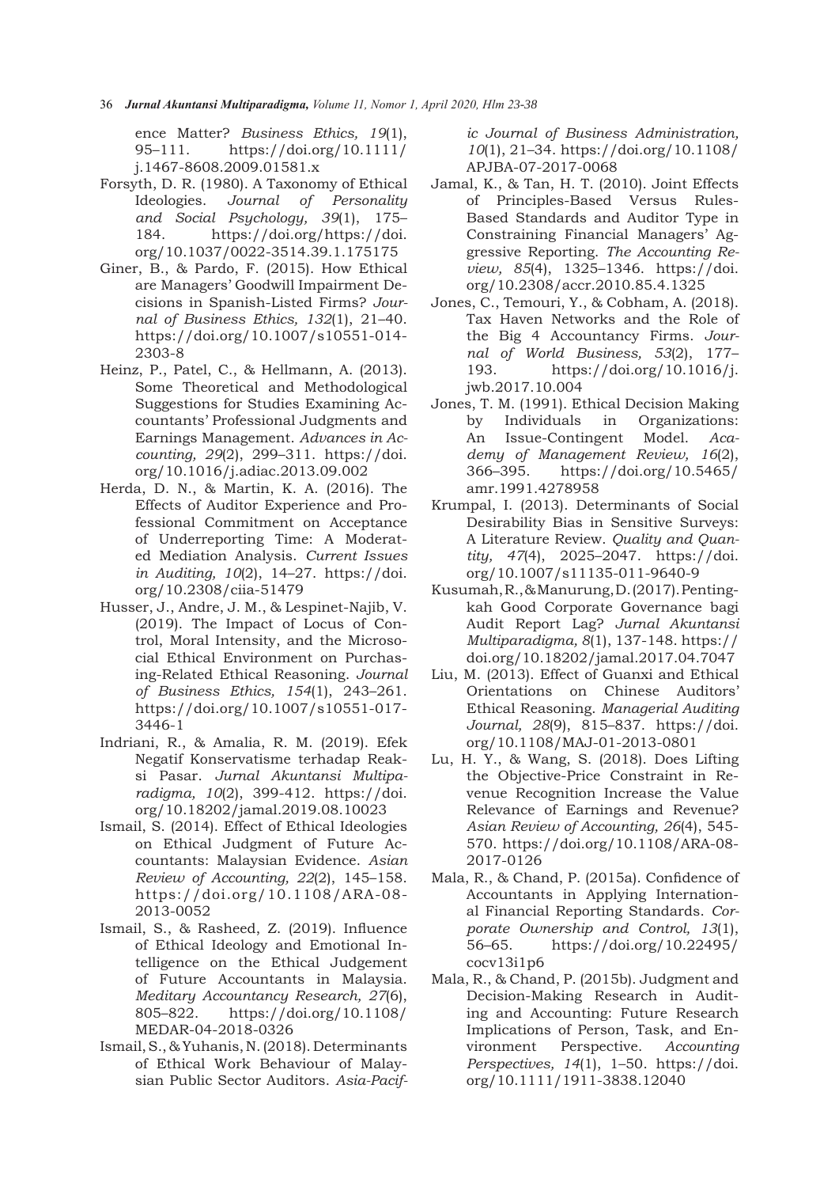36*Jurnal Akuntansi Multiparadigma, Volume 11, Nomor 1, April 2020, Hlm 23-38*

ence Matter? *Business Ethics, 19*(1), 95–111. https://doi.org/10.1111/ j.1467-8608.2009.01581.x

- Forsyth, D. R. (1980). A Taxonomy of Ethical Ideologies. *Journal of Personality and Social Psychology, 39*(1), 175– 184. https://doi.org/https://doi. org/10.1037/0022-3514.39.1.175175
- Giner, B., & Pardo, F. (2015). How Ethical are Managers' Goodwill Impairment Decisions in Spanish-Listed Firms? *Journal of Business Ethics, 132*(1), 21–40. https://doi.org/10.1007/s10551-014- 2303-8
- Heinz, P., Patel, C., & Hellmann, A. (2013). Some Theoretical and Methodological Suggestions for Studies Examining Accountants' Professional Judgments and Earnings Management. *Advances in Accounting, 29*(2), 299–311. https://doi. org/10.1016/j.adiac.2013.09.002
- Herda, D. N., & Martin, K. A. (2016). The Effects of Auditor Experience and Professional Commitment on Acceptance of Underreporting Time: A Moderated Mediation Analysis. *Current Issues in Auditing, 10*(2), 14–27. https://doi. org/10.2308/ciia-51479
- Husser, J., Andre, J. M., & Lespinet-Najib, V. (2019). The Impact of Locus of Control, Moral Intensity, and the Microsocial Ethical Environment on Purchasing-Related Ethical Reasoning. *Journal of Business Ethics, 154*(1), 243–261. https://doi.org/10.1007/s10551-017- 3446-1
- Indriani, R., & Amalia, R. M. (2019). Efek Negatif Konservatisme terhadap Reaksi Pasar. *Jurnal Akuntansi Multiparadigma, 10*(2), 399-412. https://doi. org/10.18202/jamal.2019.08.10023
- Ismail, S. (2014). Effect of Ethical Ideologies on Ethical Judgment of Future Accountants: Malaysian Evidence. *Asian Review of Accounting, 22*(2), 145–158. https://doi.org/10.1108/ARA-08- 2013-0052
- Ismail, S., & Rasheed, Z. (2019). Influence of Ethical Ideology and Emotional Intelligence on the Ethical Judgement of Future Accountants in Malaysia. *Meditary Accountancy Research, 27*(6), 805–822. https://doi.org/10.1108/ MEDAR-04-2018-0326
- Ismail, S., & Yuhanis, N. (2018). Determinants of Ethical Work Behaviour of Malaysian Public Sector Auditors. *Asia-Pacif-*

*ic Journal of Business Administration, 10*(1), 21–34. https://doi.org/10.1108/ APJBA-07-2017-0068

- Jamal, K., & Tan, H. T. (2010). Joint Effects of Principles-Based Versus Rules-Based Standards and Auditor Type in Constraining Financial Managers' Aggressive Reporting. *The Accounting Review, 85*(4), 1325–1346. https://doi. org/10.2308/accr.2010.85.4.1325
- Jones, C., Temouri, Y., & Cobham, A. (2018). Tax Haven Networks and the Role of the Big 4 Accountancy Firms. *Journal of World Business, 53*(2), 177– 193. https://doi.org/10.1016/j. jwb.2017.10.004
- Jones, T. M. (1991). Ethical Decision Making by Individuals in Organizations: An Issue-Contingent Model. *Academy of Management Review, 16*(2), 366–395. https://doi.org/10.5465/ amr.1991.4278958
- Krumpal, I. (2013). Determinants of Social Desirability Bias in Sensitive Surveys: A Literature Review. *Quality and Quantity, 47*(4), 2025–2047. https://doi. org/10.1007/s11135-011-9640-9
- Kusumah, R., & Manurung, D. (2017). Pentingkah Good Corporate Governance bagi Audit Report Lag? *Jurnal Akuntansi Multiparadigma, 8*(1), 137-148. https:// doi.org/10.18202/jamal.2017.04.7047
- Liu, M. (2013). Effect of Guanxi and Ethical Orientations on Chinese Auditors' Ethical Reasoning. *Managerial Auditing Journal, 28*(9), 815–837. https://doi. org/10.1108/MAJ-01-2013-0801
- Lu, H. Y., & Wang, S. (2018). Does Lifting the Objective-Price Constraint in Revenue Recognition Increase the Value Relevance of Earnings and Revenue? *Asian Review of Accounting, 26*(4), 545- 570. https://doi.org/10.1108/ARA-08- 2017-0126
- Mala, R., & Chand, P. (2015a). Confidence of Accountants in Applying International Financial Reporting Standards. *Corporate Ownership and Control, 13*(1), 56–65. https://doi.org/10.22495/ cocv13i1p6
- Mala, R., & Chand, P. (2015b). Judgment and Decision-Making Research in Auditing and Accounting: Future Research Implications of Person, Task, and Environment Perspective. *Accounting Perspectives, 14*(1), 1–50. https://doi. org/10.1111/1911-3838.12040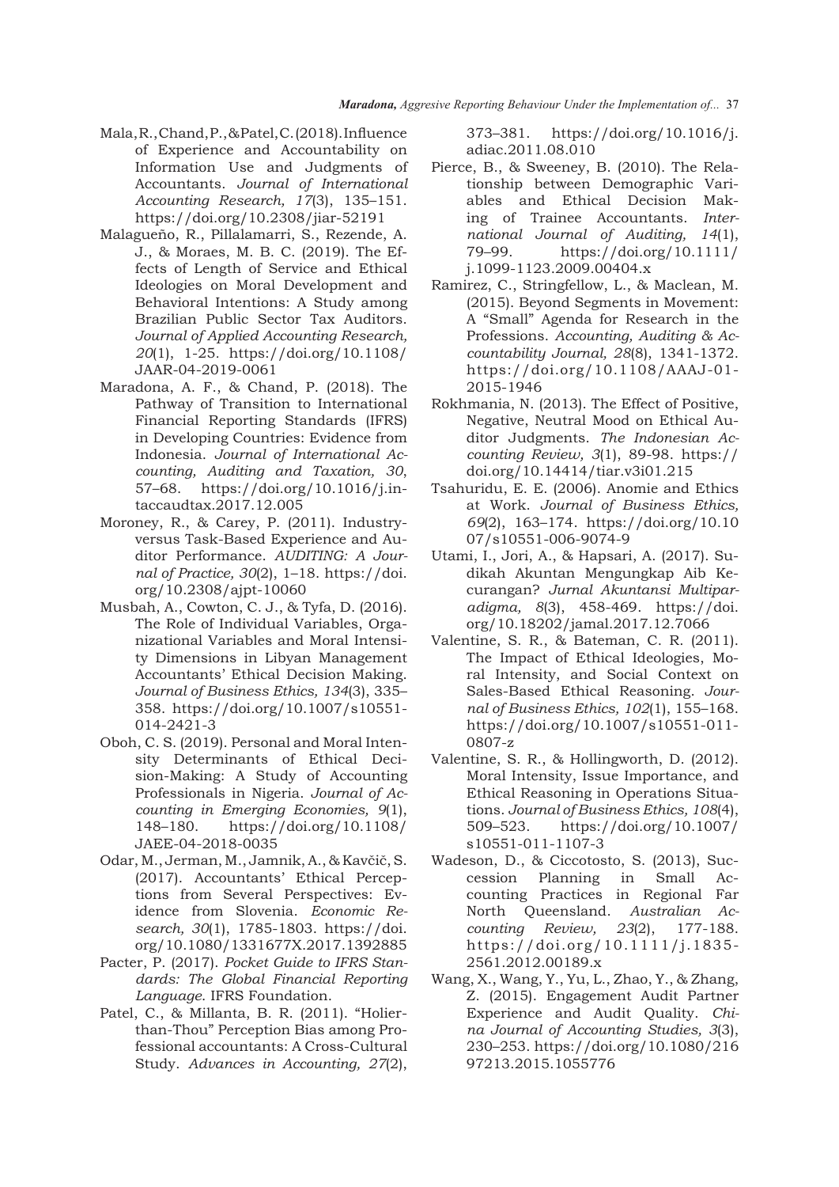- Mala, R., Chand, P., & Patel, C. (2018). Influence of Experience and Accountability on Information Use and Judgments of Accountants. *Journal of International Accounting Research, 17*(3), 135–151. https://doi.org/10.2308/jiar-52191
- Malagueño, R., Pillalamarri, S., Rezende, A. J., & Moraes, M. B. C. (2019). The Effects of Length of Service and Ethical Ideologies on Moral Development and Behavioral Intentions: A Study among Brazilian Public Sector Tax Auditors. *Journal of Applied Accounting Research, 20*(1), 1-25*.* https://doi.org/10.1108/ JAAR-04-2019-0061
- Maradona, A. F., & Chand, P. (2018). The Pathway of Transition to International Financial Reporting Standards (IFRS) in Developing Countries: Evidence from Indonesia. *Journal of International Accounting, Auditing and Taxation, 30*, 57–68. https://doi.org/10.1016/j.intaccaudtax.2017.12.005
- Moroney, R., & Carey, P. (2011). Industryversus Task-Based Experience and Auditor Performance. *AUDITING: A Journal of Practice, 30*(2), 1–18. https://doi. org/10.2308/ajpt-10060
- Musbah, A., Cowton, C. J., & Tyfa, D. (2016). The Role of Individual Variables, Organizational Variables and Moral Intensity Dimensions in Libyan Management Accountants' Ethical Decision Making. *Journal of Business Ethics, 134*(3), 335– 358. https://doi.org/10.1007/s10551- 014-2421-3
- Oboh, C. S. (2019). Personal and Moral Intensity Determinants of Ethical Decision-Making: A Study of Accounting Professionals in Nigeria. *Journal of Accounting in Emerging Economies, 9*(1), 148–180. https://doi.org/10.1108/ JAEE-04-2018-0035
- Odar, M., Jerman, M., Jamnik, A., & Kavčič, S. (2017). Accountants' Ethical Perceptions from Several Perspectives: Evidence from Slovenia. *Economic Research, 30*(1), 1785-1803. https://doi. org/10.1080/1331677X.2017.1392885
- Pacter, P. (2017). *Pocket Guide to IFRS Standards: The Global Financial Reporting Language*. IFRS Foundation.
- Patel, C., & Millanta, B. R. (2011). "Holierthan-Thou" Perception Bias among Professional accountants: A Cross-Cultural Study. *Advances in Accounting, 27*(2),

373–381. https://doi.org/10.1016/j. adiac.2011.08.010

- Pierce, B., & Sweeney, B. (2010). The Relationship between Demographic Variables and Ethical Decision Making of Trainee Accountants. *International Journal of Auditing, 14*(1), 79–99. https://doi.org/10.1111/ j.1099-1123.2009.00404.x
- Ramirez, C., Stringfellow, L., & Maclean, M. (2015). Beyond Segments in Movement: A "Small" Agenda for Research in the Professions. *Accounting, Auditing & Accountability Journal, 28*(8), 1341-1372. https://doi.org/10.1108/AAAJ-01- 2015-1946
- Rokhmania, N. (2013). The Effect of Positive, Negative, Neutral Mood on Ethical Auditor Judgments. *The Indonesian Accounting Review, 3*(1), 89-98. https:// doi.org/10.14414/tiar.v3i01.215
- Tsahuridu, E. E. (2006). Anomie and Ethics at Work. *Journal of Business Ethics, 69*(2), 163–174. https://doi.org/10.10 07/s10551-006-9074-9
- Utami, I., Jori, A., & Hapsari, A. (2017). Sudikah Akuntan Mengungkap Aib Kecurangan? *Jurnal Akuntansi Multiparadigma, 8*(3), 458-469. https://doi. org/10.18202/jamal.2017.12.7066
- Valentine, S. R., & Bateman, C. R. (2011). The Impact of Ethical Ideologies, Moral Intensity, and Social Context on Sales-Based Ethical Reasoning. *Journal of Business Ethics, 102*(1), 155–168. https://doi.org/10.1007/s10551-011- 0807-z
- Valentine, S. R., & Hollingworth, D. (2012). Moral Intensity, Issue Importance, and Ethical Reasoning in Operations Situations. *Journal of Business Ethics, 108*(4), 509–523. https://doi.org/10.1007/ s10551-011-1107-3
- Wadeson, D., & Ciccotosto, S. (2013), Succession Planning in Small Accounting Practices in Regional Far North Queensland. *Australian Accounting Review, 23*(2), 177-188. https://doi.org/10.1111/j.1835- 2561.2012.00189.x
- Wang, X., Wang, Y., Yu, L., Zhao, Y., & Zhang, Z. (2015). Engagement Audit Partner Experience and Audit Quality. *China Journal of Accounting Studies, 3*(3), 230–253. https://doi.org/10.1080/216 97213.2015.1055776